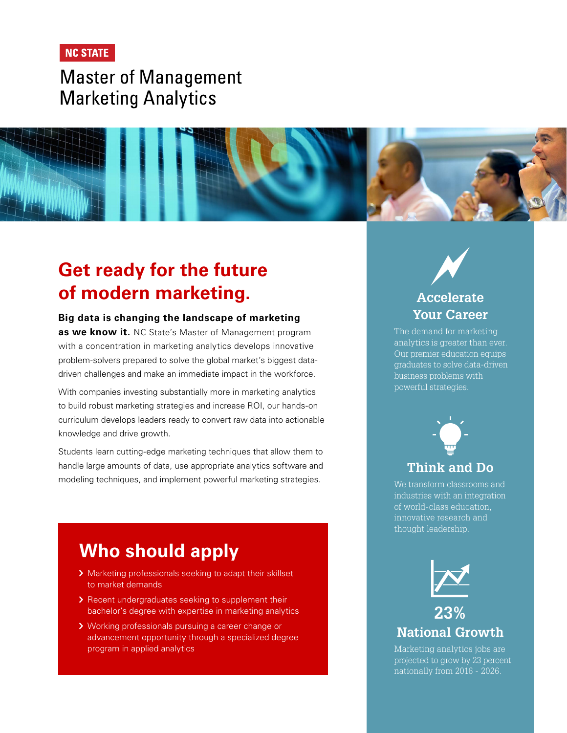### **NC STATE**

# **Master of Management Marketing Analytics**

# **Get ready for the future of modern marketing.**

#### **Big data is changing the landscape of marketing**

**as we know it.** NC State's Master of Management program with a concentration in marketing analytics develops innovative problem-solvers prepared to solve the global market's biggest datadriven challenges and make an immediate impact in the workforce.

With companies investing substantially more in marketing analytics to build robust marketing strategies and increase ROI, our hands-on curriculum develops leaders ready to convert raw data into actionable knowledge and drive growth.

Students learn cutting-edge marketing techniques that allow them to handle large amounts of data, use appropriate analytics software and modeling techniques, and implement powerful marketing strategies.

## **[Who should apply](https://ma.poole.ncsu.edu/)**

- > Marketing professionals seeking to adapt their skillset to market demands
- > Recent undergraduates seeking to supplement their bachelor's degree with expertise in marketing analytics
- **▶ Working professionals pursuing a career change or** advancement opportunity through a specialized degree program in applied analytics

### **Accelerate Your Career**

The demand for marketing analytics is greater than ever. Our premier education equips graduates to solve data-driven business problems with powerful strategies.



#### **Think and Do**

We transform classrooms and industries with an integration of world-class education, innovative research and thought leadership.



### **23% National Growth**

Marketing analytics jobs are projected to grow by 23 percent nationally from 2016 - 2026.